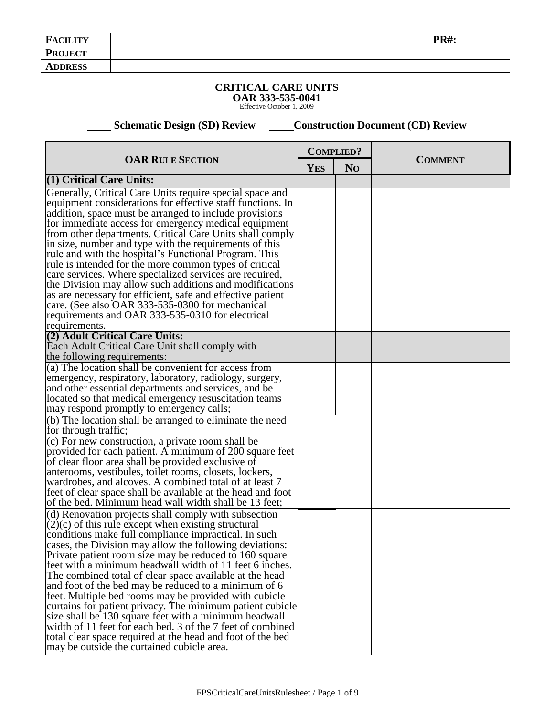## **CRITICAL CARE UNITS OAR 333-535-0041** Effective October 1, 2009

**Example 26 Schematic Design (SD) Review Construction Document (CD) Review** 

| <b>OAR RULE SECTION</b>                                                                                                                                                                                                                                                                                                                                                                                                                                                                                                                      | <b>COMPLIED?</b> |                | <b>COMMENT</b> |
|----------------------------------------------------------------------------------------------------------------------------------------------------------------------------------------------------------------------------------------------------------------------------------------------------------------------------------------------------------------------------------------------------------------------------------------------------------------------------------------------------------------------------------------------|------------------|----------------|----------------|
|                                                                                                                                                                                                                                                                                                                                                                                                                                                                                                                                              | <b>YES</b>       | N <sub>O</sub> |                |
| $(1)$ Critical Care Units:                                                                                                                                                                                                                                                                                                                                                                                                                                                                                                                   |                  |                |                |
| Generally, Critical Care Units require special space and<br>equipment considerations for effective staff functions. In<br>addition, space must be arranged to include provisions<br>for immediate access for emergency medical equipment<br>from other departments. Critical Care Units shall comply<br>in size, number and type with the requirements of this<br>rule and with the hospital's Functional Program. This<br>rule is intended for the more common types of critical<br>care services. Where specialized services are required, |                  |                |                |
| the Division may allow such additions and modifications<br>as are necessary for efficient, safe and effective patient<br>care. (See also OAR 333-535-0300 for mechanical<br>requirements and OAR 333-535-0310 for electrical<br>requirements.                                                                                                                                                                                                                                                                                                |                  |                |                |
| (2) Adult Critical Care Units:<br>Each Adult Critical Care Unit shall comply with<br>the following requirements:                                                                                                                                                                                                                                                                                                                                                                                                                             |                  |                |                |
| (a) The location shall be convenient for access from                                                                                                                                                                                                                                                                                                                                                                                                                                                                                         |                  |                |                |
| emergency, respiratory, laboratory, radiology, surgery,                                                                                                                                                                                                                                                                                                                                                                                                                                                                                      |                  |                |                |
| and other essential departments and services, and be                                                                                                                                                                                                                                                                                                                                                                                                                                                                                         |                  |                |                |
| located so that medical emergency resuscitation teams                                                                                                                                                                                                                                                                                                                                                                                                                                                                                        |                  |                |                |
| may respond promptly to emergency calls;                                                                                                                                                                                                                                                                                                                                                                                                                                                                                                     |                  |                |                |
| (b) The location shall be arranged to eliminate the need                                                                                                                                                                                                                                                                                                                                                                                                                                                                                     |                  |                |                |
| for through traffic;                                                                                                                                                                                                                                                                                                                                                                                                                                                                                                                         |                  |                |                |
| (c) For new construction, a private room shall be<br>provided for each patient. A minimum of 200 square feet                                                                                                                                                                                                                                                                                                                                                                                                                                 |                  |                |                |
| of clear floor area shall be provided exclusive of                                                                                                                                                                                                                                                                                                                                                                                                                                                                                           |                  |                |                |
| anterooms, vestibules, toilet rooms, closets, lockers,                                                                                                                                                                                                                                                                                                                                                                                                                                                                                       |                  |                |                |
| wardrobes, and alcoves. A combined total of at least 7                                                                                                                                                                                                                                                                                                                                                                                                                                                                                       |                  |                |                |
| feet of clear space shall be available at the head and foot                                                                                                                                                                                                                                                                                                                                                                                                                                                                                  |                  |                |                |
| of the bed. Minimum head wall width shall be 13 feet;                                                                                                                                                                                                                                                                                                                                                                                                                                                                                        |                  |                |                |
| (d) Renovation projects shall comply with subsection                                                                                                                                                                                                                                                                                                                                                                                                                                                                                         |                  |                |                |
| $(2)(c)$ of this rule except when existing structural<br>conditions make full compliance impractical. In such                                                                                                                                                                                                                                                                                                                                                                                                                                |                  |                |                |
| cases, the Division may allow the following deviations:                                                                                                                                                                                                                                                                                                                                                                                                                                                                                      |                  |                |                |
| Private patient room size may be reduced to 160 square                                                                                                                                                                                                                                                                                                                                                                                                                                                                                       |                  |                |                |
| feet with a minimum headwall width of 11 feet 6 inches.                                                                                                                                                                                                                                                                                                                                                                                                                                                                                      |                  |                |                |
| The combined total of clear space available at the head                                                                                                                                                                                                                                                                                                                                                                                                                                                                                      |                  |                |                |
| and foot of the bed may be reduced to a minimum of 6                                                                                                                                                                                                                                                                                                                                                                                                                                                                                         |                  |                |                |
| feet. Multiple bed rooms may be provided with cubicle                                                                                                                                                                                                                                                                                                                                                                                                                                                                                        |                  |                |                |
| curtains for patient privacy. The minimum patient cubicle                                                                                                                                                                                                                                                                                                                                                                                                                                                                                    |                  |                |                |
| size shall be 130 square feet with a minimum headwall                                                                                                                                                                                                                                                                                                                                                                                                                                                                                        |                  |                |                |
| width of 11 feet for each bed. 3 of the 7 feet of combined                                                                                                                                                                                                                                                                                                                                                                                                                                                                                   |                  |                |                |
| total clear space required at the head and foot of the bed<br>may be outside the curtained cubicle area.                                                                                                                                                                                                                                                                                                                                                                                                                                     |                  |                |                |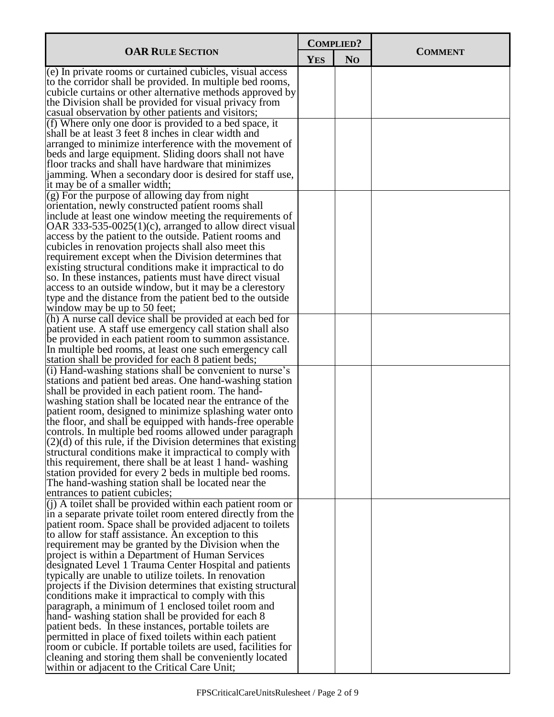| <b>YES</b><br>N <sub>O</sub><br>(e) In private rooms or curtained cubicles, visual access<br>to the corridor shall be provided. In multiple bed rooms,<br>cubicle curtains or other alternative methods approved by<br>the Division shall be provided for visual privacy from<br>casual observation by other patients and visitors;<br>(f) Where only one door is provided to a bed space, it<br>shall be at least 3 feet 8 inches in clear width and<br>arranged to minimize interference with the movement of<br>beds and large equipment. Sliding doors shall not have<br>floor tracks and shall have hardware that minimizes<br>jamming. When a secondary door is desired for staff use,<br>it may be of a smaller width;<br>$(g)$ For the purpose of allowing day from night<br>orientation, newly constructed patient rooms shall<br>include at least one window meeting the requirements of<br>OAR 333-535-0025(1)(c), arranged to allow direct visual<br>access by the patient to the outside. Patient rooms and<br>cubicles in renovation projects shall also meet this<br>requirement except when the Division determines that<br>existing structural conditions make it impractical to do<br>so. In these instances, patients must have direct visual<br>access to an outside window, but it may be a clerestory<br>type and the distance from the patient bed to the outside<br>window may be up to 50 feet;<br>(h) A nurse call device shall be provided at each bed for<br>patient use. A staff use emergency call station shall also<br>be provided in each patient room to summon assistance.<br>In multiple bed rooms, at least one such emergency call<br>station shall be provided for each 8 patient beds;<br>(i) Hand-washing stations shall be convenient to nurse's<br>stations and patient bed areas. One hand-washing station<br>shall be provided in each patient room. The hand-<br>washing station shall be located near the entrance of the<br>patient room, designed to minimize splashing water onto<br>the floor, and shall be equipped with hands-free operable<br>controls. In multiple bed rooms allowed under paragraph<br>$(2)(d)$ of this rule, if the Division determines that existing<br>structural conditions make it impractical to comply with<br>this requirement, there shall be at least 1 hand-washing<br>station provided for every 2 beds in multiple bed rooms.<br>The hand-washing station shall be located near the<br>entrances to patient cubicles;<br>$(i)$ A toilet shall be provided within each patient room or<br>in a separate private toilet room entered directly from the<br>patient room. Space shall be provided adjacent to toilets<br>to allow for staff assistance. An exception to this<br>requirement may be granted by the Division when the<br>project is within a Department of Human Services<br>designated Level 1 Trauma Center Hospital and patients<br>typically are unable to utilize toilets. In renovation<br>projects if the Division determines that existing structural<br>conditions make it impractical to comply with this<br>paragraph, a minimum of 1 enclosed toilet room and<br>hand-washing station shall be provided for each 8<br>patient beds. In these instances, portable toilets are<br>permitted in place of fixed toilets within each patient<br>room or cubicle. If portable toilets are used, facilities for<br>cleaning and storing them shall be conveniently located |                                               | <b>COMPLIED?</b> |  |                |  |
|--------------------------------------------------------------------------------------------------------------------------------------------------------------------------------------------------------------------------------------------------------------------------------------------------------------------------------------------------------------------------------------------------------------------------------------------------------------------------------------------------------------------------------------------------------------------------------------------------------------------------------------------------------------------------------------------------------------------------------------------------------------------------------------------------------------------------------------------------------------------------------------------------------------------------------------------------------------------------------------------------------------------------------------------------------------------------------------------------------------------------------------------------------------------------------------------------------------------------------------------------------------------------------------------------------------------------------------------------------------------------------------------------------------------------------------------------------------------------------------------------------------------------------------------------------------------------------------------------------------------------------------------------------------------------------------------------------------------------------------------------------------------------------------------------------------------------------------------------------------------------------------------------------------------------------------------------------------------------------------------------------------------------------------------------------------------------------------------------------------------------------------------------------------------------------------------------------------------------------------------------------------------------------------------------------------------------------------------------------------------------------------------------------------------------------------------------------------------------------------------------------------------------------------------------------------------------------------------------------------------------------------------------------------------------------------------------------------------------------------------------------------------------------------------------------------------------------------------------------------------------------------------------------------------------------------------------------------------------------------------------------------------------------------------------------------------------------------------------------------------------------------------------------------------------------------------------------------------------------------------------------------------------------------------------------------------------------------------------------------------------------------------------------------------------------------------------------------------------------|-----------------------------------------------|------------------|--|----------------|--|
|                                                                                                                                                                                                                                                                                                                                                                                                                                                                                                                                                                                                                                                                                                                                                                                                                                                                                                                                                                                                                                                                                                                                                                                                                                                                                                                                                                                                                                                                                                                                                                                                                                                                                                                                                                                                                                                                                                                                                                                                                                                                                                                                                                                                                                                                                                                                                                                                                                                                                                                                                                                                                                                                                                                                                                                                                                                                                                                                                                                                                                                                                                                                                                                                                                                                                                                                                                                                                                                                                | <b>OAR RULE SECTION</b>                       |                  |  | <b>COMMENT</b> |  |
|                                                                                                                                                                                                                                                                                                                                                                                                                                                                                                                                                                                                                                                                                                                                                                                                                                                                                                                                                                                                                                                                                                                                                                                                                                                                                                                                                                                                                                                                                                                                                                                                                                                                                                                                                                                                                                                                                                                                                                                                                                                                                                                                                                                                                                                                                                                                                                                                                                                                                                                                                                                                                                                                                                                                                                                                                                                                                                                                                                                                                                                                                                                                                                                                                                                                                                                                                                                                                                                                                |                                               |                  |  |                |  |
|                                                                                                                                                                                                                                                                                                                                                                                                                                                                                                                                                                                                                                                                                                                                                                                                                                                                                                                                                                                                                                                                                                                                                                                                                                                                                                                                                                                                                                                                                                                                                                                                                                                                                                                                                                                                                                                                                                                                                                                                                                                                                                                                                                                                                                                                                                                                                                                                                                                                                                                                                                                                                                                                                                                                                                                                                                                                                                                                                                                                                                                                                                                                                                                                                                                                                                                                                                                                                                                                                |                                               |                  |  |                |  |
|                                                                                                                                                                                                                                                                                                                                                                                                                                                                                                                                                                                                                                                                                                                                                                                                                                                                                                                                                                                                                                                                                                                                                                                                                                                                                                                                                                                                                                                                                                                                                                                                                                                                                                                                                                                                                                                                                                                                                                                                                                                                                                                                                                                                                                                                                                                                                                                                                                                                                                                                                                                                                                                                                                                                                                                                                                                                                                                                                                                                                                                                                                                                                                                                                                                                                                                                                                                                                                                                                |                                               |                  |  |                |  |
|                                                                                                                                                                                                                                                                                                                                                                                                                                                                                                                                                                                                                                                                                                                                                                                                                                                                                                                                                                                                                                                                                                                                                                                                                                                                                                                                                                                                                                                                                                                                                                                                                                                                                                                                                                                                                                                                                                                                                                                                                                                                                                                                                                                                                                                                                                                                                                                                                                                                                                                                                                                                                                                                                                                                                                                                                                                                                                                                                                                                                                                                                                                                                                                                                                                                                                                                                                                                                                                                                |                                               |                  |  |                |  |
|                                                                                                                                                                                                                                                                                                                                                                                                                                                                                                                                                                                                                                                                                                                                                                                                                                                                                                                                                                                                                                                                                                                                                                                                                                                                                                                                                                                                                                                                                                                                                                                                                                                                                                                                                                                                                                                                                                                                                                                                                                                                                                                                                                                                                                                                                                                                                                                                                                                                                                                                                                                                                                                                                                                                                                                                                                                                                                                                                                                                                                                                                                                                                                                                                                                                                                                                                                                                                                                                                |                                               |                  |  |                |  |
|                                                                                                                                                                                                                                                                                                                                                                                                                                                                                                                                                                                                                                                                                                                                                                                                                                                                                                                                                                                                                                                                                                                                                                                                                                                                                                                                                                                                                                                                                                                                                                                                                                                                                                                                                                                                                                                                                                                                                                                                                                                                                                                                                                                                                                                                                                                                                                                                                                                                                                                                                                                                                                                                                                                                                                                                                                                                                                                                                                                                                                                                                                                                                                                                                                                                                                                                                                                                                                                                                |                                               |                  |  |                |  |
|                                                                                                                                                                                                                                                                                                                                                                                                                                                                                                                                                                                                                                                                                                                                                                                                                                                                                                                                                                                                                                                                                                                                                                                                                                                                                                                                                                                                                                                                                                                                                                                                                                                                                                                                                                                                                                                                                                                                                                                                                                                                                                                                                                                                                                                                                                                                                                                                                                                                                                                                                                                                                                                                                                                                                                                                                                                                                                                                                                                                                                                                                                                                                                                                                                                                                                                                                                                                                                                                                |                                               |                  |  |                |  |
|                                                                                                                                                                                                                                                                                                                                                                                                                                                                                                                                                                                                                                                                                                                                                                                                                                                                                                                                                                                                                                                                                                                                                                                                                                                                                                                                                                                                                                                                                                                                                                                                                                                                                                                                                                                                                                                                                                                                                                                                                                                                                                                                                                                                                                                                                                                                                                                                                                                                                                                                                                                                                                                                                                                                                                                                                                                                                                                                                                                                                                                                                                                                                                                                                                                                                                                                                                                                                                                                                |                                               |                  |  |                |  |
|                                                                                                                                                                                                                                                                                                                                                                                                                                                                                                                                                                                                                                                                                                                                                                                                                                                                                                                                                                                                                                                                                                                                                                                                                                                                                                                                                                                                                                                                                                                                                                                                                                                                                                                                                                                                                                                                                                                                                                                                                                                                                                                                                                                                                                                                                                                                                                                                                                                                                                                                                                                                                                                                                                                                                                                                                                                                                                                                                                                                                                                                                                                                                                                                                                                                                                                                                                                                                                                                                |                                               |                  |  |                |  |
|                                                                                                                                                                                                                                                                                                                                                                                                                                                                                                                                                                                                                                                                                                                                                                                                                                                                                                                                                                                                                                                                                                                                                                                                                                                                                                                                                                                                                                                                                                                                                                                                                                                                                                                                                                                                                                                                                                                                                                                                                                                                                                                                                                                                                                                                                                                                                                                                                                                                                                                                                                                                                                                                                                                                                                                                                                                                                                                                                                                                                                                                                                                                                                                                                                                                                                                                                                                                                                                                                |                                               |                  |  |                |  |
|                                                                                                                                                                                                                                                                                                                                                                                                                                                                                                                                                                                                                                                                                                                                                                                                                                                                                                                                                                                                                                                                                                                                                                                                                                                                                                                                                                                                                                                                                                                                                                                                                                                                                                                                                                                                                                                                                                                                                                                                                                                                                                                                                                                                                                                                                                                                                                                                                                                                                                                                                                                                                                                                                                                                                                                                                                                                                                                                                                                                                                                                                                                                                                                                                                                                                                                                                                                                                                                                                |                                               |                  |  |                |  |
|                                                                                                                                                                                                                                                                                                                                                                                                                                                                                                                                                                                                                                                                                                                                                                                                                                                                                                                                                                                                                                                                                                                                                                                                                                                                                                                                                                                                                                                                                                                                                                                                                                                                                                                                                                                                                                                                                                                                                                                                                                                                                                                                                                                                                                                                                                                                                                                                                                                                                                                                                                                                                                                                                                                                                                                                                                                                                                                                                                                                                                                                                                                                                                                                                                                                                                                                                                                                                                                                                |                                               |                  |  |                |  |
|                                                                                                                                                                                                                                                                                                                                                                                                                                                                                                                                                                                                                                                                                                                                                                                                                                                                                                                                                                                                                                                                                                                                                                                                                                                                                                                                                                                                                                                                                                                                                                                                                                                                                                                                                                                                                                                                                                                                                                                                                                                                                                                                                                                                                                                                                                                                                                                                                                                                                                                                                                                                                                                                                                                                                                                                                                                                                                                                                                                                                                                                                                                                                                                                                                                                                                                                                                                                                                                                                |                                               |                  |  |                |  |
|                                                                                                                                                                                                                                                                                                                                                                                                                                                                                                                                                                                                                                                                                                                                                                                                                                                                                                                                                                                                                                                                                                                                                                                                                                                                                                                                                                                                                                                                                                                                                                                                                                                                                                                                                                                                                                                                                                                                                                                                                                                                                                                                                                                                                                                                                                                                                                                                                                                                                                                                                                                                                                                                                                                                                                                                                                                                                                                                                                                                                                                                                                                                                                                                                                                                                                                                                                                                                                                                                |                                               |                  |  |                |  |
|                                                                                                                                                                                                                                                                                                                                                                                                                                                                                                                                                                                                                                                                                                                                                                                                                                                                                                                                                                                                                                                                                                                                                                                                                                                                                                                                                                                                                                                                                                                                                                                                                                                                                                                                                                                                                                                                                                                                                                                                                                                                                                                                                                                                                                                                                                                                                                                                                                                                                                                                                                                                                                                                                                                                                                                                                                                                                                                                                                                                                                                                                                                                                                                                                                                                                                                                                                                                                                                                                |                                               |                  |  |                |  |
|                                                                                                                                                                                                                                                                                                                                                                                                                                                                                                                                                                                                                                                                                                                                                                                                                                                                                                                                                                                                                                                                                                                                                                                                                                                                                                                                                                                                                                                                                                                                                                                                                                                                                                                                                                                                                                                                                                                                                                                                                                                                                                                                                                                                                                                                                                                                                                                                                                                                                                                                                                                                                                                                                                                                                                                                                                                                                                                                                                                                                                                                                                                                                                                                                                                                                                                                                                                                                                                                                |                                               |                  |  |                |  |
|                                                                                                                                                                                                                                                                                                                                                                                                                                                                                                                                                                                                                                                                                                                                                                                                                                                                                                                                                                                                                                                                                                                                                                                                                                                                                                                                                                                                                                                                                                                                                                                                                                                                                                                                                                                                                                                                                                                                                                                                                                                                                                                                                                                                                                                                                                                                                                                                                                                                                                                                                                                                                                                                                                                                                                                                                                                                                                                                                                                                                                                                                                                                                                                                                                                                                                                                                                                                                                                                                |                                               |                  |  |                |  |
|                                                                                                                                                                                                                                                                                                                                                                                                                                                                                                                                                                                                                                                                                                                                                                                                                                                                                                                                                                                                                                                                                                                                                                                                                                                                                                                                                                                                                                                                                                                                                                                                                                                                                                                                                                                                                                                                                                                                                                                                                                                                                                                                                                                                                                                                                                                                                                                                                                                                                                                                                                                                                                                                                                                                                                                                                                                                                                                                                                                                                                                                                                                                                                                                                                                                                                                                                                                                                                                                                |                                               |                  |  |                |  |
|                                                                                                                                                                                                                                                                                                                                                                                                                                                                                                                                                                                                                                                                                                                                                                                                                                                                                                                                                                                                                                                                                                                                                                                                                                                                                                                                                                                                                                                                                                                                                                                                                                                                                                                                                                                                                                                                                                                                                                                                                                                                                                                                                                                                                                                                                                                                                                                                                                                                                                                                                                                                                                                                                                                                                                                                                                                                                                                                                                                                                                                                                                                                                                                                                                                                                                                                                                                                                                                                                |                                               |                  |  |                |  |
|                                                                                                                                                                                                                                                                                                                                                                                                                                                                                                                                                                                                                                                                                                                                                                                                                                                                                                                                                                                                                                                                                                                                                                                                                                                                                                                                                                                                                                                                                                                                                                                                                                                                                                                                                                                                                                                                                                                                                                                                                                                                                                                                                                                                                                                                                                                                                                                                                                                                                                                                                                                                                                                                                                                                                                                                                                                                                                                                                                                                                                                                                                                                                                                                                                                                                                                                                                                                                                                                                |                                               |                  |  |                |  |
|                                                                                                                                                                                                                                                                                                                                                                                                                                                                                                                                                                                                                                                                                                                                                                                                                                                                                                                                                                                                                                                                                                                                                                                                                                                                                                                                                                                                                                                                                                                                                                                                                                                                                                                                                                                                                                                                                                                                                                                                                                                                                                                                                                                                                                                                                                                                                                                                                                                                                                                                                                                                                                                                                                                                                                                                                                                                                                                                                                                                                                                                                                                                                                                                                                                                                                                                                                                                                                                                                |                                               |                  |  |                |  |
|                                                                                                                                                                                                                                                                                                                                                                                                                                                                                                                                                                                                                                                                                                                                                                                                                                                                                                                                                                                                                                                                                                                                                                                                                                                                                                                                                                                                                                                                                                                                                                                                                                                                                                                                                                                                                                                                                                                                                                                                                                                                                                                                                                                                                                                                                                                                                                                                                                                                                                                                                                                                                                                                                                                                                                                                                                                                                                                                                                                                                                                                                                                                                                                                                                                                                                                                                                                                                                                                                |                                               |                  |  |                |  |
|                                                                                                                                                                                                                                                                                                                                                                                                                                                                                                                                                                                                                                                                                                                                                                                                                                                                                                                                                                                                                                                                                                                                                                                                                                                                                                                                                                                                                                                                                                                                                                                                                                                                                                                                                                                                                                                                                                                                                                                                                                                                                                                                                                                                                                                                                                                                                                                                                                                                                                                                                                                                                                                                                                                                                                                                                                                                                                                                                                                                                                                                                                                                                                                                                                                                                                                                                                                                                                                                                |                                               |                  |  |                |  |
|                                                                                                                                                                                                                                                                                                                                                                                                                                                                                                                                                                                                                                                                                                                                                                                                                                                                                                                                                                                                                                                                                                                                                                                                                                                                                                                                                                                                                                                                                                                                                                                                                                                                                                                                                                                                                                                                                                                                                                                                                                                                                                                                                                                                                                                                                                                                                                                                                                                                                                                                                                                                                                                                                                                                                                                                                                                                                                                                                                                                                                                                                                                                                                                                                                                                                                                                                                                                                                                                                |                                               |                  |  |                |  |
|                                                                                                                                                                                                                                                                                                                                                                                                                                                                                                                                                                                                                                                                                                                                                                                                                                                                                                                                                                                                                                                                                                                                                                                                                                                                                                                                                                                                                                                                                                                                                                                                                                                                                                                                                                                                                                                                                                                                                                                                                                                                                                                                                                                                                                                                                                                                                                                                                                                                                                                                                                                                                                                                                                                                                                                                                                                                                                                                                                                                                                                                                                                                                                                                                                                                                                                                                                                                                                                                                |                                               |                  |  |                |  |
|                                                                                                                                                                                                                                                                                                                                                                                                                                                                                                                                                                                                                                                                                                                                                                                                                                                                                                                                                                                                                                                                                                                                                                                                                                                                                                                                                                                                                                                                                                                                                                                                                                                                                                                                                                                                                                                                                                                                                                                                                                                                                                                                                                                                                                                                                                                                                                                                                                                                                                                                                                                                                                                                                                                                                                                                                                                                                                                                                                                                                                                                                                                                                                                                                                                                                                                                                                                                                                                                                |                                               |                  |  |                |  |
|                                                                                                                                                                                                                                                                                                                                                                                                                                                                                                                                                                                                                                                                                                                                                                                                                                                                                                                                                                                                                                                                                                                                                                                                                                                                                                                                                                                                                                                                                                                                                                                                                                                                                                                                                                                                                                                                                                                                                                                                                                                                                                                                                                                                                                                                                                                                                                                                                                                                                                                                                                                                                                                                                                                                                                                                                                                                                                                                                                                                                                                                                                                                                                                                                                                                                                                                                                                                                                                                                |                                               |                  |  |                |  |
|                                                                                                                                                                                                                                                                                                                                                                                                                                                                                                                                                                                                                                                                                                                                                                                                                                                                                                                                                                                                                                                                                                                                                                                                                                                                                                                                                                                                                                                                                                                                                                                                                                                                                                                                                                                                                                                                                                                                                                                                                                                                                                                                                                                                                                                                                                                                                                                                                                                                                                                                                                                                                                                                                                                                                                                                                                                                                                                                                                                                                                                                                                                                                                                                                                                                                                                                                                                                                                                                                |                                               |                  |  |                |  |
|                                                                                                                                                                                                                                                                                                                                                                                                                                                                                                                                                                                                                                                                                                                                                                                                                                                                                                                                                                                                                                                                                                                                                                                                                                                                                                                                                                                                                                                                                                                                                                                                                                                                                                                                                                                                                                                                                                                                                                                                                                                                                                                                                                                                                                                                                                                                                                                                                                                                                                                                                                                                                                                                                                                                                                                                                                                                                                                                                                                                                                                                                                                                                                                                                                                                                                                                                                                                                                                                                |                                               |                  |  |                |  |
|                                                                                                                                                                                                                                                                                                                                                                                                                                                                                                                                                                                                                                                                                                                                                                                                                                                                                                                                                                                                                                                                                                                                                                                                                                                                                                                                                                                                                                                                                                                                                                                                                                                                                                                                                                                                                                                                                                                                                                                                                                                                                                                                                                                                                                                                                                                                                                                                                                                                                                                                                                                                                                                                                                                                                                                                                                                                                                                                                                                                                                                                                                                                                                                                                                                                                                                                                                                                                                                                                |                                               |                  |  |                |  |
|                                                                                                                                                                                                                                                                                                                                                                                                                                                                                                                                                                                                                                                                                                                                                                                                                                                                                                                                                                                                                                                                                                                                                                                                                                                                                                                                                                                                                                                                                                                                                                                                                                                                                                                                                                                                                                                                                                                                                                                                                                                                                                                                                                                                                                                                                                                                                                                                                                                                                                                                                                                                                                                                                                                                                                                                                                                                                                                                                                                                                                                                                                                                                                                                                                                                                                                                                                                                                                                                                |                                               |                  |  |                |  |
|                                                                                                                                                                                                                                                                                                                                                                                                                                                                                                                                                                                                                                                                                                                                                                                                                                                                                                                                                                                                                                                                                                                                                                                                                                                                                                                                                                                                                                                                                                                                                                                                                                                                                                                                                                                                                                                                                                                                                                                                                                                                                                                                                                                                                                                                                                                                                                                                                                                                                                                                                                                                                                                                                                                                                                                                                                                                                                                                                                                                                                                                                                                                                                                                                                                                                                                                                                                                                                                                                |                                               |                  |  |                |  |
|                                                                                                                                                                                                                                                                                                                                                                                                                                                                                                                                                                                                                                                                                                                                                                                                                                                                                                                                                                                                                                                                                                                                                                                                                                                                                                                                                                                                                                                                                                                                                                                                                                                                                                                                                                                                                                                                                                                                                                                                                                                                                                                                                                                                                                                                                                                                                                                                                                                                                                                                                                                                                                                                                                                                                                                                                                                                                                                                                                                                                                                                                                                                                                                                                                                                                                                                                                                                                                                                                |                                               |                  |  |                |  |
|                                                                                                                                                                                                                                                                                                                                                                                                                                                                                                                                                                                                                                                                                                                                                                                                                                                                                                                                                                                                                                                                                                                                                                                                                                                                                                                                                                                                                                                                                                                                                                                                                                                                                                                                                                                                                                                                                                                                                                                                                                                                                                                                                                                                                                                                                                                                                                                                                                                                                                                                                                                                                                                                                                                                                                                                                                                                                                                                                                                                                                                                                                                                                                                                                                                                                                                                                                                                                                                                                |                                               |                  |  |                |  |
|                                                                                                                                                                                                                                                                                                                                                                                                                                                                                                                                                                                                                                                                                                                                                                                                                                                                                                                                                                                                                                                                                                                                                                                                                                                                                                                                                                                                                                                                                                                                                                                                                                                                                                                                                                                                                                                                                                                                                                                                                                                                                                                                                                                                                                                                                                                                                                                                                                                                                                                                                                                                                                                                                                                                                                                                                                                                                                                                                                                                                                                                                                                                                                                                                                                                                                                                                                                                                                                                                |                                               |                  |  |                |  |
|                                                                                                                                                                                                                                                                                                                                                                                                                                                                                                                                                                                                                                                                                                                                                                                                                                                                                                                                                                                                                                                                                                                                                                                                                                                                                                                                                                                                                                                                                                                                                                                                                                                                                                                                                                                                                                                                                                                                                                                                                                                                                                                                                                                                                                                                                                                                                                                                                                                                                                                                                                                                                                                                                                                                                                                                                                                                                                                                                                                                                                                                                                                                                                                                                                                                                                                                                                                                                                                                                |                                               |                  |  |                |  |
|                                                                                                                                                                                                                                                                                                                                                                                                                                                                                                                                                                                                                                                                                                                                                                                                                                                                                                                                                                                                                                                                                                                                                                                                                                                                                                                                                                                                                                                                                                                                                                                                                                                                                                                                                                                                                                                                                                                                                                                                                                                                                                                                                                                                                                                                                                                                                                                                                                                                                                                                                                                                                                                                                                                                                                                                                                                                                                                                                                                                                                                                                                                                                                                                                                                                                                                                                                                                                                                                                |                                               |                  |  |                |  |
|                                                                                                                                                                                                                                                                                                                                                                                                                                                                                                                                                                                                                                                                                                                                                                                                                                                                                                                                                                                                                                                                                                                                                                                                                                                                                                                                                                                                                                                                                                                                                                                                                                                                                                                                                                                                                                                                                                                                                                                                                                                                                                                                                                                                                                                                                                                                                                                                                                                                                                                                                                                                                                                                                                                                                                                                                                                                                                                                                                                                                                                                                                                                                                                                                                                                                                                                                                                                                                                                                |                                               |                  |  |                |  |
|                                                                                                                                                                                                                                                                                                                                                                                                                                                                                                                                                                                                                                                                                                                                                                                                                                                                                                                                                                                                                                                                                                                                                                                                                                                                                                                                                                                                                                                                                                                                                                                                                                                                                                                                                                                                                                                                                                                                                                                                                                                                                                                                                                                                                                                                                                                                                                                                                                                                                                                                                                                                                                                                                                                                                                                                                                                                                                                                                                                                                                                                                                                                                                                                                                                                                                                                                                                                                                                                                |                                               |                  |  |                |  |
|                                                                                                                                                                                                                                                                                                                                                                                                                                                                                                                                                                                                                                                                                                                                                                                                                                                                                                                                                                                                                                                                                                                                                                                                                                                                                                                                                                                                                                                                                                                                                                                                                                                                                                                                                                                                                                                                                                                                                                                                                                                                                                                                                                                                                                                                                                                                                                                                                                                                                                                                                                                                                                                                                                                                                                                                                                                                                                                                                                                                                                                                                                                                                                                                                                                                                                                                                                                                                                                                                |                                               |                  |  |                |  |
|                                                                                                                                                                                                                                                                                                                                                                                                                                                                                                                                                                                                                                                                                                                                                                                                                                                                                                                                                                                                                                                                                                                                                                                                                                                                                                                                                                                                                                                                                                                                                                                                                                                                                                                                                                                                                                                                                                                                                                                                                                                                                                                                                                                                                                                                                                                                                                                                                                                                                                                                                                                                                                                                                                                                                                                                                                                                                                                                                                                                                                                                                                                                                                                                                                                                                                                                                                                                                                                                                |                                               |                  |  |                |  |
|                                                                                                                                                                                                                                                                                                                                                                                                                                                                                                                                                                                                                                                                                                                                                                                                                                                                                                                                                                                                                                                                                                                                                                                                                                                                                                                                                                                                                                                                                                                                                                                                                                                                                                                                                                                                                                                                                                                                                                                                                                                                                                                                                                                                                                                                                                                                                                                                                                                                                                                                                                                                                                                                                                                                                                                                                                                                                                                                                                                                                                                                                                                                                                                                                                                                                                                                                                                                                                                                                |                                               |                  |  |                |  |
|                                                                                                                                                                                                                                                                                                                                                                                                                                                                                                                                                                                                                                                                                                                                                                                                                                                                                                                                                                                                                                                                                                                                                                                                                                                                                                                                                                                                                                                                                                                                                                                                                                                                                                                                                                                                                                                                                                                                                                                                                                                                                                                                                                                                                                                                                                                                                                                                                                                                                                                                                                                                                                                                                                                                                                                                                                                                                                                                                                                                                                                                                                                                                                                                                                                                                                                                                                                                                                                                                |                                               |                  |  |                |  |
|                                                                                                                                                                                                                                                                                                                                                                                                                                                                                                                                                                                                                                                                                                                                                                                                                                                                                                                                                                                                                                                                                                                                                                                                                                                                                                                                                                                                                                                                                                                                                                                                                                                                                                                                                                                                                                                                                                                                                                                                                                                                                                                                                                                                                                                                                                                                                                                                                                                                                                                                                                                                                                                                                                                                                                                                                                                                                                                                                                                                                                                                                                                                                                                                                                                                                                                                                                                                                                                                                |                                               |                  |  |                |  |
|                                                                                                                                                                                                                                                                                                                                                                                                                                                                                                                                                                                                                                                                                                                                                                                                                                                                                                                                                                                                                                                                                                                                                                                                                                                                                                                                                                                                                                                                                                                                                                                                                                                                                                                                                                                                                                                                                                                                                                                                                                                                                                                                                                                                                                                                                                                                                                                                                                                                                                                                                                                                                                                                                                                                                                                                                                                                                                                                                                                                                                                                                                                                                                                                                                                                                                                                                                                                                                                                                |                                               |                  |  |                |  |
|                                                                                                                                                                                                                                                                                                                                                                                                                                                                                                                                                                                                                                                                                                                                                                                                                                                                                                                                                                                                                                                                                                                                                                                                                                                                                                                                                                                                                                                                                                                                                                                                                                                                                                                                                                                                                                                                                                                                                                                                                                                                                                                                                                                                                                                                                                                                                                                                                                                                                                                                                                                                                                                                                                                                                                                                                                                                                                                                                                                                                                                                                                                                                                                                                                                                                                                                                                                                                                                                                |                                               |                  |  |                |  |
|                                                                                                                                                                                                                                                                                                                                                                                                                                                                                                                                                                                                                                                                                                                                                                                                                                                                                                                                                                                                                                                                                                                                                                                                                                                                                                                                                                                                                                                                                                                                                                                                                                                                                                                                                                                                                                                                                                                                                                                                                                                                                                                                                                                                                                                                                                                                                                                                                                                                                                                                                                                                                                                                                                                                                                                                                                                                                                                                                                                                                                                                                                                                                                                                                                                                                                                                                                                                                                                                                |                                               |                  |  |                |  |
|                                                                                                                                                                                                                                                                                                                                                                                                                                                                                                                                                                                                                                                                                                                                                                                                                                                                                                                                                                                                                                                                                                                                                                                                                                                                                                                                                                                                                                                                                                                                                                                                                                                                                                                                                                                                                                                                                                                                                                                                                                                                                                                                                                                                                                                                                                                                                                                                                                                                                                                                                                                                                                                                                                                                                                                                                                                                                                                                                                                                                                                                                                                                                                                                                                                                                                                                                                                                                                                                                |                                               |                  |  |                |  |
|                                                                                                                                                                                                                                                                                                                                                                                                                                                                                                                                                                                                                                                                                                                                                                                                                                                                                                                                                                                                                                                                                                                                                                                                                                                                                                                                                                                                                                                                                                                                                                                                                                                                                                                                                                                                                                                                                                                                                                                                                                                                                                                                                                                                                                                                                                                                                                                                                                                                                                                                                                                                                                                                                                                                                                                                                                                                                                                                                                                                                                                                                                                                                                                                                                                                                                                                                                                                                                                                                |                                               |                  |  |                |  |
|                                                                                                                                                                                                                                                                                                                                                                                                                                                                                                                                                                                                                                                                                                                                                                                                                                                                                                                                                                                                                                                                                                                                                                                                                                                                                                                                                                                                                                                                                                                                                                                                                                                                                                                                                                                                                                                                                                                                                                                                                                                                                                                                                                                                                                                                                                                                                                                                                                                                                                                                                                                                                                                                                                                                                                                                                                                                                                                                                                                                                                                                                                                                                                                                                                                                                                                                                                                                                                                                                |                                               |                  |  |                |  |
|                                                                                                                                                                                                                                                                                                                                                                                                                                                                                                                                                                                                                                                                                                                                                                                                                                                                                                                                                                                                                                                                                                                                                                                                                                                                                                                                                                                                                                                                                                                                                                                                                                                                                                                                                                                                                                                                                                                                                                                                                                                                                                                                                                                                                                                                                                                                                                                                                                                                                                                                                                                                                                                                                                                                                                                                                                                                                                                                                                                                                                                                                                                                                                                                                                                                                                                                                                                                                                                                                |                                               |                  |  |                |  |
|                                                                                                                                                                                                                                                                                                                                                                                                                                                                                                                                                                                                                                                                                                                                                                                                                                                                                                                                                                                                                                                                                                                                                                                                                                                                                                                                                                                                                                                                                                                                                                                                                                                                                                                                                                                                                                                                                                                                                                                                                                                                                                                                                                                                                                                                                                                                                                                                                                                                                                                                                                                                                                                                                                                                                                                                                                                                                                                                                                                                                                                                                                                                                                                                                                                                                                                                                                                                                                                                                | within or adjacent to the Critical Care Unit; |                  |  |                |  |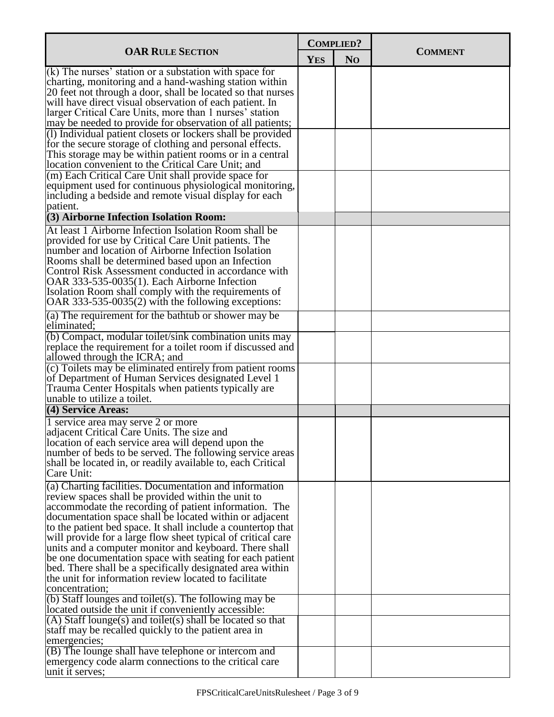|                                                                                                                                                                                                                                                                                                                                                                                                                                                                                                                                                                                                                                  |            | <b>COMPLIED?</b> |                |
|----------------------------------------------------------------------------------------------------------------------------------------------------------------------------------------------------------------------------------------------------------------------------------------------------------------------------------------------------------------------------------------------------------------------------------------------------------------------------------------------------------------------------------------------------------------------------------------------------------------------------------|------------|------------------|----------------|
| <b>OAR RULE SECTION</b>                                                                                                                                                                                                                                                                                                                                                                                                                                                                                                                                                                                                          | <b>YES</b> | N <sub>O</sub>   | <b>COMMENT</b> |
| $(k)$ The nurses' station or a substation with space for<br>charting, monitoring and a hand-washing station within<br>20 feet not through a door, shall be located so that nurses<br>will have direct visual observation of each patient. In<br>larger Critical Care Units, more than 1 nurses' station<br>may be needed to provide for observation of all patients;                                                                                                                                                                                                                                                             |            |                  |                |
| (1) Individual patient closets or lockers shall be provided<br>for the secure storage of clothing and personal effects.<br>This storage may be within patient rooms or in a central<br>location convenient to the Critical Care Unit; and                                                                                                                                                                                                                                                                                                                                                                                        |            |                  |                |
| (m) Each Critical Care Unit shall provide space for<br>equipment used for continuous physiological monitoring,<br>including a bedside and remote visual display for each<br>patient.                                                                                                                                                                                                                                                                                                                                                                                                                                             |            |                  |                |
| (3) Airborne Infection Isolation Room:                                                                                                                                                                                                                                                                                                                                                                                                                                                                                                                                                                                           |            |                  |                |
| At least 1 Airborne Infection Isolation Room shall be<br>provided for use by Critical Care Unit patients. The<br>number and location of Airborne Infection Isolation<br>Rooms shall be determined based upon an Infection<br>Control Risk Assessment conducted in accordance with<br>OAR 333-535-0035(1). Each Airborne Infection<br>Isolation Room shall comply with the requirements of<br>OAR 333-535-0035(2) with the following exceptions:                                                                                                                                                                                  |            |                  |                |
| (a) The requirement for the bathtub or shower may be<br>eliminated;                                                                                                                                                                                                                                                                                                                                                                                                                                                                                                                                                              |            |                  |                |
| (b) Compact, modular toilet/sink combination units may<br>replace the requirement for a toilet room if discussed and<br>allowed through the ICRA; and                                                                                                                                                                                                                                                                                                                                                                                                                                                                            |            |                  |                |
| (c) Toilets may be eliminated entirely from patient rooms<br>of Department of Human Services designated Level 1<br>Trauma Center Hospitals when patients typically are<br>unable to utilize a toilet.                                                                                                                                                                                                                                                                                                                                                                                                                            |            |                  |                |
| (4) Service Areas:                                                                                                                                                                                                                                                                                                                                                                                                                                                                                                                                                                                                               |            |                  |                |
| 1 service area may serve 2 or more<br>adjacent Critical Care Units. The size and<br>location of each service area will depend upon the<br>number of beds to be served. The following service areas<br>shall be located in, or readily available to, each Critical<br>Care Unit:                                                                                                                                                                                                                                                                                                                                                  |            |                  |                |
| $(a)$ Charting facilities. Documentation and information<br>review spaces shall be provided within the unit to<br>accommodate the recording of patient information. The<br>documentation space shall be located within or adjacent<br>to the patient bed space. It shall include a countertop that<br>will provide for a large flow sheet typical of critical care<br>units and a computer monitor and keyboard. There shall<br>be one documentation space with seating for each patient<br>bed. There shall be a specifically designated area within<br>the unit for information review located to facilitate<br>concentration; |            |                  |                |
| $\overline{b}$ ) Staff lounges and toilet(s). The following may be<br>located outside the unit if conveniently accessible:                                                                                                                                                                                                                                                                                                                                                                                                                                                                                                       |            |                  |                |
| $(A)$ Staff lounge(s) and toilet(s) shall be located so that<br>staff may be recalled quickly to the patient area in<br>emergencies;                                                                                                                                                                                                                                                                                                                                                                                                                                                                                             |            |                  |                |
| $($ B) The lounge shall have telephone or intercom and<br>emergency code alarm connections to the critical care<br>unit it serves;                                                                                                                                                                                                                                                                                                                                                                                                                                                                                               |            |                  |                |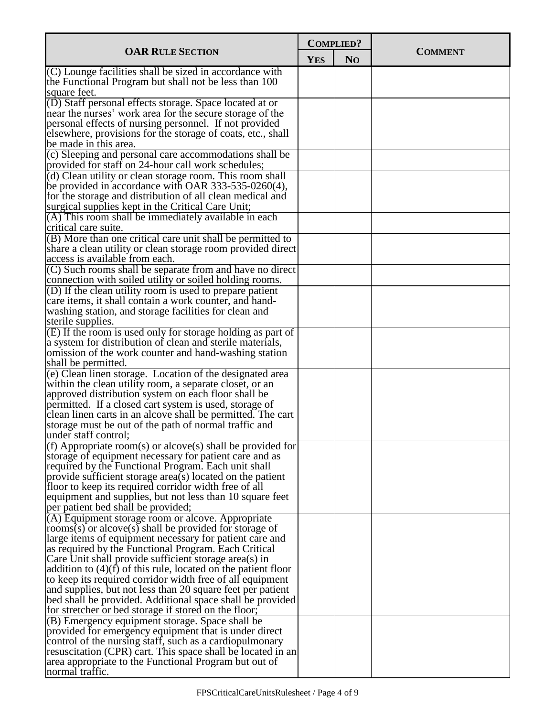| <b>OAR RULE SECTION</b><br><b>COMMENT</b><br><b>YES</b><br>N <sub>O</sub><br>$(C)$ Lounge facilities shall be sized in accordance with<br>the Functional Program but shall not be less than 100<br>square feet.<br>(D) Staff personal effects storage. Space located at or<br>near the nurses' work area for the secure storage of the<br>personal effects of nursing personnel. If not provided<br>elsewhere, provisions for the storage of coats, etc., shall<br>be made in this area.<br>(c) Sleeping and personal care accommodations shall be<br>provided for staff on 24-hour call work schedules;<br>(d) Clean utility or clean storage room. This room shall<br>be provided in accordance with OAR 333-535-0260(4),<br>for the storage and distribution of all clean medical and<br>surgical supplies kept in the Critical Care Unit;<br>(A) This room shall be immediately available in each<br>critical care suite.<br>(B) More than one critical care unit shall be permitted to |
|---------------------------------------------------------------------------------------------------------------------------------------------------------------------------------------------------------------------------------------------------------------------------------------------------------------------------------------------------------------------------------------------------------------------------------------------------------------------------------------------------------------------------------------------------------------------------------------------------------------------------------------------------------------------------------------------------------------------------------------------------------------------------------------------------------------------------------------------------------------------------------------------------------------------------------------------------------------------------------------------|
|                                                                                                                                                                                                                                                                                                                                                                                                                                                                                                                                                                                                                                                                                                                                                                                                                                                                                                                                                                                             |
|                                                                                                                                                                                                                                                                                                                                                                                                                                                                                                                                                                                                                                                                                                                                                                                                                                                                                                                                                                                             |
|                                                                                                                                                                                                                                                                                                                                                                                                                                                                                                                                                                                                                                                                                                                                                                                                                                                                                                                                                                                             |
|                                                                                                                                                                                                                                                                                                                                                                                                                                                                                                                                                                                                                                                                                                                                                                                                                                                                                                                                                                                             |
|                                                                                                                                                                                                                                                                                                                                                                                                                                                                                                                                                                                                                                                                                                                                                                                                                                                                                                                                                                                             |
|                                                                                                                                                                                                                                                                                                                                                                                                                                                                                                                                                                                                                                                                                                                                                                                                                                                                                                                                                                                             |
|                                                                                                                                                                                                                                                                                                                                                                                                                                                                                                                                                                                                                                                                                                                                                                                                                                                                                                                                                                                             |
|                                                                                                                                                                                                                                                                                                                                                                                                                                                                                                                                                                                                                                                                                                                                                                                                                                                                                                                                                                                             |
|                                                                                                                                                                                                                                                                                                                                                                                                                                                                                                                                                                                                                                                                                                                                                                                                                                                                                                                                                                                             |
|                                                                                                                                                                                                                                                                                                                                                                                                                                                                                                                                                                                                                                                                                                                                                                                                                                                                                                                                                                                             |
|                                                                                                                                                                                                                                                                                                                                                                                                                                                                                                                                                                                                                                                                                                                                                                                                                                                                                                                                                                                             |
|                                                                                                                                                                                                                                                                                                                                                                                                                                                                                                                                                                                                                                                                                                                                                                                                                                                                                                                                                                                             |
|                                                                                                                                                                                                                                                                                                                                                                                                                                                                                                                                                                                                                                                                                                                                                                                                                                                                                                                                                                                             |
|                                                                                                                                                                                                                                                                                                                                                                                                                                                                                                                                                                                                                                                                                                                                                                                                                                                                                                                                                                                             |
|                                                                                                                                                                                                                                                                                                                                                                                                                                                                                                                                                                                                                                                                                                                                                                                                                                                                                                                                                                                             |
| share a clean utility or clean storage room provided direct                                                                                                                                                                                                                                                                                                                                                                                                                                                                                                                                                                                                                                                                                                                                                                                                                                                                                                                                 |
| access is available from each.                                                                                                                                                                                                                                                                                                                                                                                                                                                                                                                                                                                                                                                                                                                                                                                                                                                                                                                                                              |
| $(C)$ Such rooms shall be separate from and have no direct                                                                                                                                                                                                                                                                                                                                                                                                                                                                                                                                                                                                                                                                                                                                                                                                                                                                                                                                  |
| connection with soiled utility or soiled holding rooms.                                                                                                                                                                                                                                                                                                                                                                                                                                                                                                                                                                                                                                                                                                                                                                                                                                                                                                                                     |
| (D) If the clean utility room is used to prepare patient<br>care items, it shall contain a work counter, and hand-                                                                                                                                                                                                                                                                                                                                                                                                                                                                                                                                                                                                                                                                                                                                                                                                                                                                          |
| washing station, and storage facilities for clean and                                                                                                                                                                                                                                                                                                                                                                                                                                                                                                                                                                                                                                                                                                                                                                                                                                                                                                                                       |
| sterile supplies.                                                                                                                                                                                                                                                                                                                                                                                                                                                                                                                                                                                                                                                                                                                                                                                                                                                                                                                                                                           |
| (E) If the room is used only for storage holding as part of                                                                                                                                                                                                                                                                                                                                                                                                                                                                                                                                                                                                                                                                                                                                                                                                                                                                                                                                 |
| a system for distribution of clean and sterile materials,                                                                                                                                                                                                                                                                                                                                                                                                                                                                                                                                                                                                                                                                                                                                                                                                                                                                                                                                   |
| omission of the work counter and hand-washing station<br>shall be permitted.                                                                                                                                                                                                                                                                                                                                                                                                                                                                                                                                                                                                                                                                                                                                                                                                                                                                                                                |
| $\overline{e}$ ) Clean linen storage. Location of the designated area                                                                                                                                                                                                                                                                                                                                                                                                                                                                                                                                                                                                                                                                                                                                                                                                                                                                                                                       |
| within the clean utility room, a separate closet, or an                                                                                                                                                                                                                                                                                                                                                                                                                                                                                                                                                                                                                                                                                                                                                                                                                                                                                                                                     |
| approved distribution system on each floor shall be                                                                                                                                                                                                                                                                                                                                                                                                                                                                                                                                                                                                                                                                                                                                                                                                                                                                                                                                         |
| permitted. If a closed cart system is used, storage of                                                                                                                                                                                                                                                                                                                                                                                                                                                                                                                                                                                                                                                                                                                                                                                                                                                                                                                                      |
| clean linen carts in an alcove shall be permitted. The cart<br>storage must be out of the path of normal traffic and                                                                                                                                                                                                                                                                                                                                                                                                                                                                                                                                                                                                                                                                                                                                                                                                                                                                        |
| under staff control;                                                                                                                                                                                                                                                                                                                                                                                                                                                                                                                                                                                                                                                                                                                                                                                                                                                                                                                                                                        |
| $(f)$ Appropriate room(s) or alcove(s) shall be provided for                                                                                                                                                                                                                                                                                                                                                                                                                                                                                                                                                                                                                                                                                                                                                                                                                                                                                                                                |
| storage of equipment necessary for patient care and as                                                                                                                                                                                                                                                                                                                                                                                                                                                                                                                                                                                                                                                                                                                                                                                                                                                                                                                                      |
| required by the Functional Program. Each unit shall                                                                                                                                                                                                                                                                                                                                                                                                                                                                                                                                                                                                                                                                                                                                                                                                                                                                                                                                         |
| provide sufficient storage area(s) located on the patient<br>floor to keep its required corridor width free of all                                                                                                                                                                                                                                                                                                                                                                                                                                                                                                                                                                                                                                                                                                                                                                                                                                                                          |
| equipment and supplies, but not less than 10 square feet                                                                                                                                                                                                                                                                                                                                                                                                                                                                                                                                                                                                                                                                                                                                                                                                                                                                                                                                    |
| per patient bed shall be provided;                                                                                                                                                                                                                                                                                                                                                                                                                                                                                                                                                                                                                                                                                                                                                                                                                                                                                                                                                          |
| (A) Equipment storage room or alcove. Appropriate                                                                                                                                                                                                                                                                                                                                                                                                                                                                                                                                                                                                                                                                                                                                                                                                                                                                                                                                           |
| rooms(s) or alcove(s) shall be provided for storage of                                                                                                                                                                                                                                                                                                                                                                                                                                                                                                                                                                                                                                                                                                                                                                                                                                                                                                                                      |
| large items of equipment necessary for patient care and                                                                                                                                                                                                                                                                                                                                                                                                                                                                                                                                                                                                                                                                                                                                                                                                                                                                                                                                     |
| as required by the Functional Program. Each Critical<br>Care Unit shall provide sufficient storage area(s) in                                                                                                                                                                                                                                                                                                                                                                                                                                                                                                                                                                                                                                                                                                                                                                                                                                                                               |
| addition to $(4)(f)$ of this rule, located on the patient floor                                                                                                                                                                                                                                                                                                                                                                                                                                                                                                                                                                                                                                                                                                                                                                                                                                                                                                                             |
| to keep its required corridor width free of all equipment                                                                                                                                                                                                                                                                                                                                                                                                                                                                                                                                                                                                                                                                                                                                                                                                                                                                                                                                   |
| and supplies, but not less than 20 square feet per patient                                                                                                                                                                                                                                                                                                                                                                                                                                                                                                                                                                                                                                                                                                                                                                                                                                                                                                                                  |
| bed shall be provided. Additional space shall be provided                                                                                                                                                                                                                                                                                                                                                                                                                                                                                                                                                                                                                                                                                                                                                                                                                                                                                                                                   |
| for stretcher or bed storage if stored on the floor;<br>(B) Emergency equipment storage. Space shall be                                                                                                                                                                                                                                                                                                                                                                                                                                                                                                                                                                                                                                                                                                                                                                                                                                                                                     |
| provided for emergency equipment that is under direct                                                                                                                                                                                                                                                                                                                                                                                                                                                                                                                                                                                                                                                                                                                                                                                                                                                                                                                                       |
| control of the nursing staff, such as a cardiopulmonary                                                                                                                                                                                                                                                                                                                                                                                                                                                                                                                                                                                                                                                                                                                                                                                                                                                                                                                                     |
| resuscitation (CPR) cart. This space shall be located in an                                                                                                                                                                                                                                                                                                                                                                                                                                                                                                                                                                                                                                                                                                                                                                                                                                                                                                                                 |
| area appropriate to the Functional Program but out of<br>normal traffic.                                                                                                                                                                                                                                                                                                                                                                                                                                                                                                                                                                                                                                                                                                                                                                                                                                                                                                                    |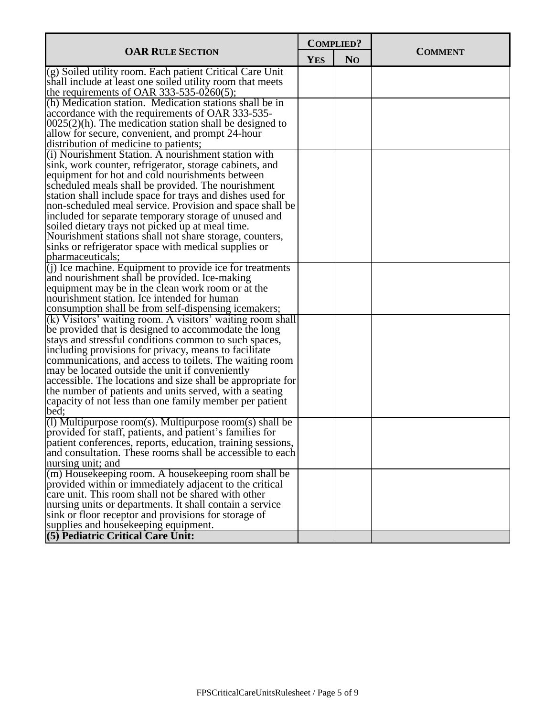|                                                                                           | <b>COMPLIED?</b> |                |                |
|-------------------------------------------------------------------------------------------|------------------|----------------|----------------|
| <b>OAR RULE SECTION</b>                                                                   | <b>YES</b>       | N <sub>O</sub> | <b>COMMENT</b> |
| (g) Soiled utility room. Each patient Critical Care Unit                                  |                  |                |                |
| shall include at least one soiled utility room that meets                                 |                  |                |                |
| the requirements of OAR 333-535-0260(5);                                                  |                  |                |                |
| (h) Medication station. Medication stations shall be in                                   |                  |                |                |
| accordance with the requirements of OAR 333-535-                                          |                  |                |                |
| $ 0025(2)(h)$ . The medication station shall be designed to                               |                  |                |                |
| allow for secure, convenient, and prompt 24-hour<br>distribution of medicine to patients; |                  |                |                |
| (i) Nourishment Station. A nourishment station with                                       |                  |                |                |
| sink, work counter, refrigerator, storage cabinets, and                                   |                  |                |                |
| equipment for hot and cold nourishments between                                           |                  |                |                |
| scheduled meals shall be provided. The nourishment                                        |                  |                |                |
| station shall include space for trays and dishes used for                                 |                  |                |                |
| non-scheduled meal service. Provision and space shall be                                  |                  |                |                |
| included for separate temporary storage of unused and                                     |                  |                |                |
| soiled dietary trays not picked up at meal time.                                          |                  |                |                |
| Nourishment stations shall not share storage, counters,                                   |                  |                |                |
| sinks or refrigerator space with medical supplies or                                      |                  |                |                |
| pharmaceuticals;                                                                          |                  |                |                |
| $\overline{q}(i)$ Ice machine. Equipment to provide ice for treatments                    |                  |                |                |
| and nourishment shall be provided. Ice-making                                             |                  |                |                |
| equipment may be in the clean work room or at the                                         |                  |                |                |
| nourishment station. Ice intended for human                                               |                  |                |                |
| consumption shall be from self-dispensing icemakers;                                      |                  |                |                |
| $(k)$ Visitors' waiting room. A visitors' waiting room shall                              |                  |                |                |
| be provided that is designed to accommodate the long                                      |                  |                |                |
| stays and stressful conditions common to such spaces,                                     |                  |                |                |
| including provisions for privacy, means to facilitate                                     |                  |                |                |
| communications, and access to toilets. The waiting room                                   |                  |                |                |
| may be located outside the unit if conveniently                                           |                  |                |                |
| accessible. The locations and size shall be appropriate for                               |                  |                |                |
| the number of patients and units served, with a seating                                   |                  |                |                |
| capacity of not less than one family member per patient<br>bed;                           |                  |                |                |
| (1) Multipurpose room(s). Multipurpose room(s) shall be                                   |                  |                |                |
| provided for staff, patients, and patient's families for                                  |                  |                |                |
| patient conferences, reports, education, training sessions,                               |                  |                |                |
| and consultation. These rooms shall be accessible to each                                 |                  |                |                |
| nursing unit; and                                                                         |                  |                |                |
| $\vert$ (m) Housekeeping room. A housekeeping room shall be                               |                  |                |                |
| provided within or immediately adjacent to the critical                                   |                  |                |                |
| care unit. This room shall not be shared with other                                       |                  |                |                |
| nursing units or departments. It shall contain a service                                  |                  |                |                |
| sink or floor receptor and provisions for storage of                                      |                  |                |                |
| supplies and housekeeping equipment.                                                      |                  |                |                |
| (5) Pediatric Critical Care Unit:                                                         |                  |                |                |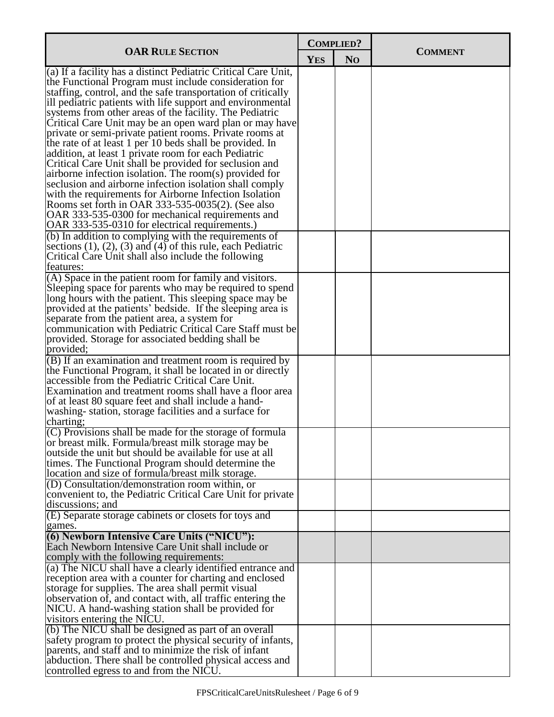|                                                                                                                    | <b>COMPLIED?</b> |                |                |
|--------------------------------------------------------------------------------------------------------------------|------------------|----------------|----------------|
| <b>OAR RULE SECTION</b>                                                                                            | <b>YES</b>       | N <sub>O</sub> | <b>COMMENT</b> |
| (a) If a facility has a distinct Pediatric Critical Care Unit,                                                     |                  |                |                |
| the Functional Program must include consideration for                                                              |                  |                |                |
| staffing, control, and the safe transportation of critically                                                       |                  |                |                |
| ill pediatric patients with life support and environmental                                                         |                  |                |                |
| systems from other areas of the facility. The Pediatric                                                            |                  |                |                |
| Critical Care Unit may be an open ward plan or may have<br>private or semi-private patient rooms. Private rooms at |                  |                |                |
| the rate of at least 1 per 10 beds shall be provided. In                                                           |                  |                |                |
| addition, at least 1 private room for each Pediatric                                                               |                  |                |                |
| Critical Care Unit shall be provided for seclusion and                                                             |                  |                |                |
| airborne infection isolation. The room(s) provided for                                                             |                  |                |                |
| seclusion and airborne infection isolation shall comply                                                            |                  |                |                |
| with the requirements for Airborne Infection Isolation                                                             |                  |                |                |
| Rooms set forth in OAR 333-535-0035(2). (See also                                                                  |                  |                |                |
| OAR 333-535-0300 for mechanical requirements and                                                                   |                  |                |                |
| OAR 333-535-0310 for electrical requirements.)                                                                     |                  |                |                |
| (b) In addition to complying with the requirements of                                                              |                  |                |                |
| sections $(1)$ , $(2)$ , $(3)$ and $(4)$ of this rule, each Pediatric                                              |                  |                |                |
| Critical Care Unit shall also include the following                                                                |                  |                |                |
| features:                                                                                                          |                  |                |                |
| (A) Space in the patient room for family and visitors.                                                             |                  |                |                |
| Sleeping space for parents who may be required to spend<br>long hours with the patient. This sleeping space may be |                  |                |                |
| provided at the patients' bedside. If the sleeping area is                                                         |                  |                |                |
| separate from the patient area, a system for                                                                       |                  |                |                |
| communication with Pediatric Critical Care Staff must be                                                           |                  |                |                |
| provided. Storage for associated bedding shall be                                                                  |                  |                |                |
| provided;                                                                                                          |                  |                |                |
| $(B)$ If an examination and treatment room is required by                                                          |                  |                |                |
| the Functional Program, it shall be located in or directly                                                         |                  |                |                |
| accessible from the Pediatric Critical Care Unit.                                                                  |                  |                |                |
| Examination and treatment rooms shall have a floor area                                                            |                  |                |                |
| of at least 80 square feet and shall include a hand-                                                               |                  |                |                |
| washing-station, storage facilities and a surface for<br>charting;                                                 |                  |                |                |
| (C) Provisions shall be made for the storage of formula                                                            |                  |                |                |
| or breast milk. Formula/breast milk storage may be                                                                 |                  |                |                |
| outside the unit but should be available for use at all                                                            |                  |                |                |
| times. The Functional Program should determine the                                                                 |                  |                |                |
| location and size of formula/breast milk storage.                                                                  |                  |                |                |
| (D) Consultation/demonstration room within, or                                                                     |                  |                |                |
| convenient to, the Pediatric Critical Care Unit for private                                                        |                  |                |                |
| discussions; and                                                                                                   |                  |                |                |
| (E) Separate storage cabinets or closets for toys and                                                              |                  |                |                |
| games.                                                                                                             |                  |                |                |
| (6) Newborn Intensive Care Units ("NICU"):                                                                         |                  |                |                |
| Each Newborn Intensive Care Unit shall include or                                                                  |                  |                |                |
| comply with the following requirements:<br>(a) The NICU shall have a clearly identified entrance and               |                  |                |                |
| reception area with a counter for charting and enclosed                                                            |                  |                |                |
| storage for supplies. The area shall permit visual                                                                 |                  |                |                |
| observation of, and contact with, all traffic entering the                                                         |                  |                |                |
| NICU. A hand-washing station shall be provided for                                                                 |                  |                |                |
| visitors entering the NICU.                                                                                        |                  |                |                |
| (b) The NICU shall be designed as part of an overall                                                               |                  |                |                |
| safety program to protect the physical security of infants,                                                        |                  |                |                |
| parents, and staff and to minimize the risk of infant                                                              |                  |                |                |
| abduction. There shall be controlled physical access and                                                           |                  |                |                |
| controlled egress to and from the NICU.                                                                            |                  |                |                |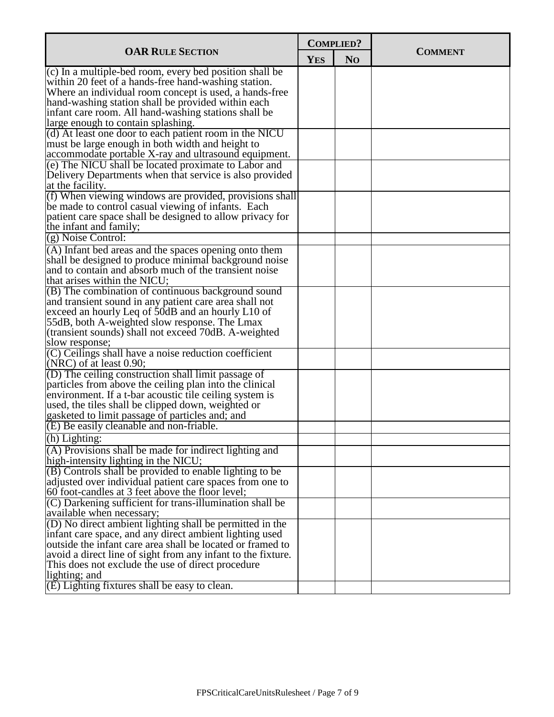|                                                                                                                    | <b>COMPLIED?</b> |                |                |
|--------------------------------------------------------------------------------------------------------------------|------------------|----------------|----------------|
| <b>OAR RULE SECTION</b>                                                                                            | <b>YES</b>       | N <sub>O</sub> | <b>COMMENT</b> |
| $\overline{c}$ ) In a multiple-bed room, every bed position shall be                                               |                  |                |                |
| within 20 feet of a hands-free hand-washing station.                                                               |                  |                |                |
| Where an individual room concept is used, a hands-free                                                             |                  |                |                |
| hand-washing station shall be provided within each                                                                 |                  |                |                |
| infant care room. All hand-washing stations shall be                                                               |                  |                |                |
| large enough to contain splashing.                                                                                 |                  |                |                |
| (d) At least one door to each patient room in the NICU                                                             |                  |                |                |
| must be large enough in both width and height to                                                                   |                  |                |                |
| accommodate portable X-ray and ultrasound equipment.                                                               |                  |                |                |
| (e) The NICU shall be located proximate to Labor and                                                               |                  |                |                |
| Delivery Departments when that service is also provided                                                            |                  |                |                |
| at the facility.                                                                                                   |                  |                |                |
| (f) When viewing windows are provided, provisions shall                                                            |                  |                |                |
| be made to control casual viewing of infants. Each                                                                 |                  |                |                |
| patient care space shall be designed to allow privacy for                                                          |                  |                |                |
| the infant and family;                                                                                             |                  |                |                |
| (g) Noise Control:                                                                                                 |                  |                |                |
| (A) Infant bed areas and the spaces opening onto them                                                              |                  |                |                |
| shall be designed to produce minimal background noise                                                              |                  |                |                |
| and to contain and absorb much of the transient noise                                                              |                  |                |                |
| that arises within the NICU;                                                                                       |                  |                |                |
| (B) The combination of continuous background sound                                                                 |                  |                |                |
| and transient sound in any patient care area shall not                                                             |                  |                |                |
| exceed an hourly Leq of 50dB and an hourly L10 of                                                                  |                  |                |                |
| 55dB, both A-weighted slow response. The Lmax                                                                      |                  |                |                |
| (transient sounds) shall not exceed 70dB. A-weighted                                                               |                  |                |                |
| slow response;                                                                                                     |                  |                |                |
| (C) Ceilings shall have a noise reduction coefficient<br>$(NRC)$ of at least 0.90;                                 |                  |                |                |
|                                                                                                                    |                  |                |                |
| (D) The ceiling construction shall limit passage of                                                                |                  |                |                |
| particles from above the ceiling plan into the clinical<br>environment. If a t-bar acoustic tile ceiling system is |                  |                |                |
| used, the tiles shall be clipped down, weighted or                                                                 |                  |                |                |
| gasketed to limit passage of particles and; and                                                                    |                  |                |                |
| $(E)$ Be easily cleanable and non-friable.                                                                         |                  |                |                |
| (h) Lighting:                                                                                                      |                  |                |                |
| (A) Provisions shall be made for indirect lighting and                                                             |                  |                |                |
| high-intensity lighting in the NICU;                                                                               |                  |                |                |
| $( B )$ Controls shall be provided to enable lighting to be                                                        |                  |                |                |
| adjusted over individual patient care spaces from one to                                                           |                  |                |                |
| 60 foot-candles at 3 feet above the floor level;                                                                   |                  |                |                |
| (C) Darkening sufficient for trans-illumination shall be                                                           |                  |                |                |
| available when necessary;                                                                                          |                  |                |                |
| (D) No direct ambient lighting shall be permitted in the                                                           |                  |                |                |
| infant care space, and any direct ambient lighting used                                                            |                  |                |                |
| outside the infant care area shall be located or framed to                                                         |                  |                |                |
| avoid a direct line of sight from any infant to the fixture.                                                       |                  |                |                |
| This does not exclude the use of direct procedure                                                                  |                  |                |                |
| lighting; and                                                                                                      |                  |                |                |
| (E) Lighting fixtures shall be easy to clean.                                                                      |                  |                |                |
|                                                                                                                    |                  |                |                |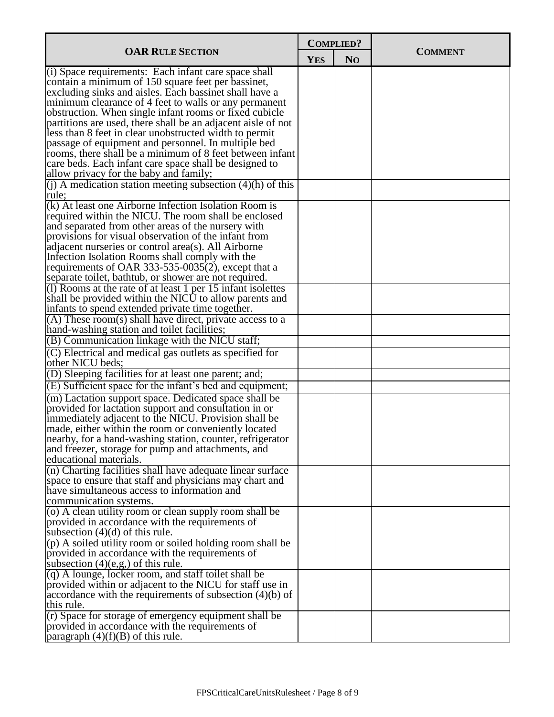|                                                                                                                 | <b>COMPLIED?</b> |                |                |
|-----------------------------------------------------------------------------------------------------------------|------------------|----------------|----------------|
| <b>OAR RULE SECTION</b>                                                                                         | <b>YES</b>       | N <sub>O</sub> | <b>COMMENT</b> |
| $(i)$ Space requirements: Each infant care space shall                                                          |                  |                |                |
| contain a minimum of 150 square feet per bassinet,                                                              |                  |                |                |
| excluding sinks and aisles. Each bassinet shall have a                                                          |                  |                |                |
| minimum clearance of 4 feet to walls or any permanent                                                           |                  |                |                |
| obstruction. When single infant rooms or fixed cubicle                                                          |                  |                |                |
| partitions are used, there shall be an adjacent aisle of not                                                    |                  |                |                |
| less than 8 feet in clear unobstructed width to permit                                                          |                  |                |                |
| passage of equipment and personnel. In multiple bed<br>rooms, there shall be a minimum of 8 feet between infant |                  |                |                |
| care beds. Each infant care space shall be designed to                                                          |                  |                |                |
| allow privacy for the baby and family;                                                                          |                  |                |                |
| (j) A medication station meeting subsection $(4)(h)$ of this                                                    |                  |                |                |
| rule;                                                                                                           |                  |                |                |
| (k) At least one Airborne Infection Isolation Room is                                                           |                  |                |                |
| required within the NICU. The room shall be enclosed                                                            |                  |                |                |
| and separated from other areas of the nursery with                                                              |                  |                |                |
| provisions for visual observation of the infant from                                                            |                  |                |                |
| adjacent nurseries or control area(s). All Airborne                                                             |                  |                |                |
| Infection Isolation Rooms shall comply with the                                                                 |                  |                |                |
| requirements of OAR 333-535-0035 $(2)$ , except that a                                                          |                  |                |                |
| separate toilet, bathtub, or shower are not required.                                                           |                  |                |                |
| $(1)$ Rooms at the rate of at least 1 per 15 infant isolettes                                                   |                  |                |                |
| shall be provided within the NICU to allow parents and                                                          |                  |                |                |
| infants to spend extended private time together.                                                                |                  |                |                |
| $(A)$ These room(s) shall have direct, private access to a                                                      |                  |                |                |
| hand-washing station and toilet facilities;                                                                     |                  |                |                |
| (B) Communication linkage with the NICU staff;                                                                  |                  |                |                |
| (C) Electrical and medical gas outlets as specified for<br>other NICU beds;                                     |                  |                |                |
| (D) Sleeping facilities for at least one parent; and;                                                           |                  |                |                |
| (E) Sufficient space for the infant's bed and equipment;                                                        |                  |                |                |
| (m) Lactation support space. Dedicated space shall be                                                           |                  |                |                |
| provided for lactation support and consultation in or                                                           |                  |                |                |
| immediately adjacent to the NICU. Provision shall be                                                            |                  |                |                |
| made, either within the room or conveniently located                                                            |                  |                |                |
| nearby, for a hand-washing station, counter, refrigerator                                                       |                  |                |                |
| and freezer, storage for pump and attachments, and                                                              |                  |                |                |
| educational materials.                                                                                          |                  |                |                |
| $(n)$ Charting facilities shall have adequate linear surface                                                    |                  |                |                |
| space to ensure that staff and physicians may chart and                                                         |                  |                |                |
| have simultaneous access to information and                                                                     |                  |                |                |
| communication systems.                                                                                          |                  |                |                |
| (o) A clean utility room or clean supply room shall be                                                          |                  |                |                |
| provided in accordance with the requirements of                                                                 |                  |                |                |
| subsection $(4)(d)$ of this rule.                                                                               |                  |                |                |
| $(p)$ A soiled utility room or soiled holding room shall be                                                     |                  |                |                |
| provided in accordance with the requirements of                                                                 |                  |                |                |
| subsection $(4)(e,g)$ of this rule.                                                                             |                  |                |                |
| $(q)$ A lounge, locker room, and staff toilet shall be                                                          |                  |                |                |
| provided within or adjacent to the NICU for staff use in                                                        |                  |                |                |
| accordance with the requirements of subsection $(4)(b)$ of<br>this rule.                                        |                  |                |                |
| (r) Space for storage of emergency equipment shall be                                                           |                  |                |                |
| provided in accordance with the requirements of                                                                 |                  |                |                |
| paragraph $(4)(f)(B)$ of this rule.                                                                             |                  |                |                |